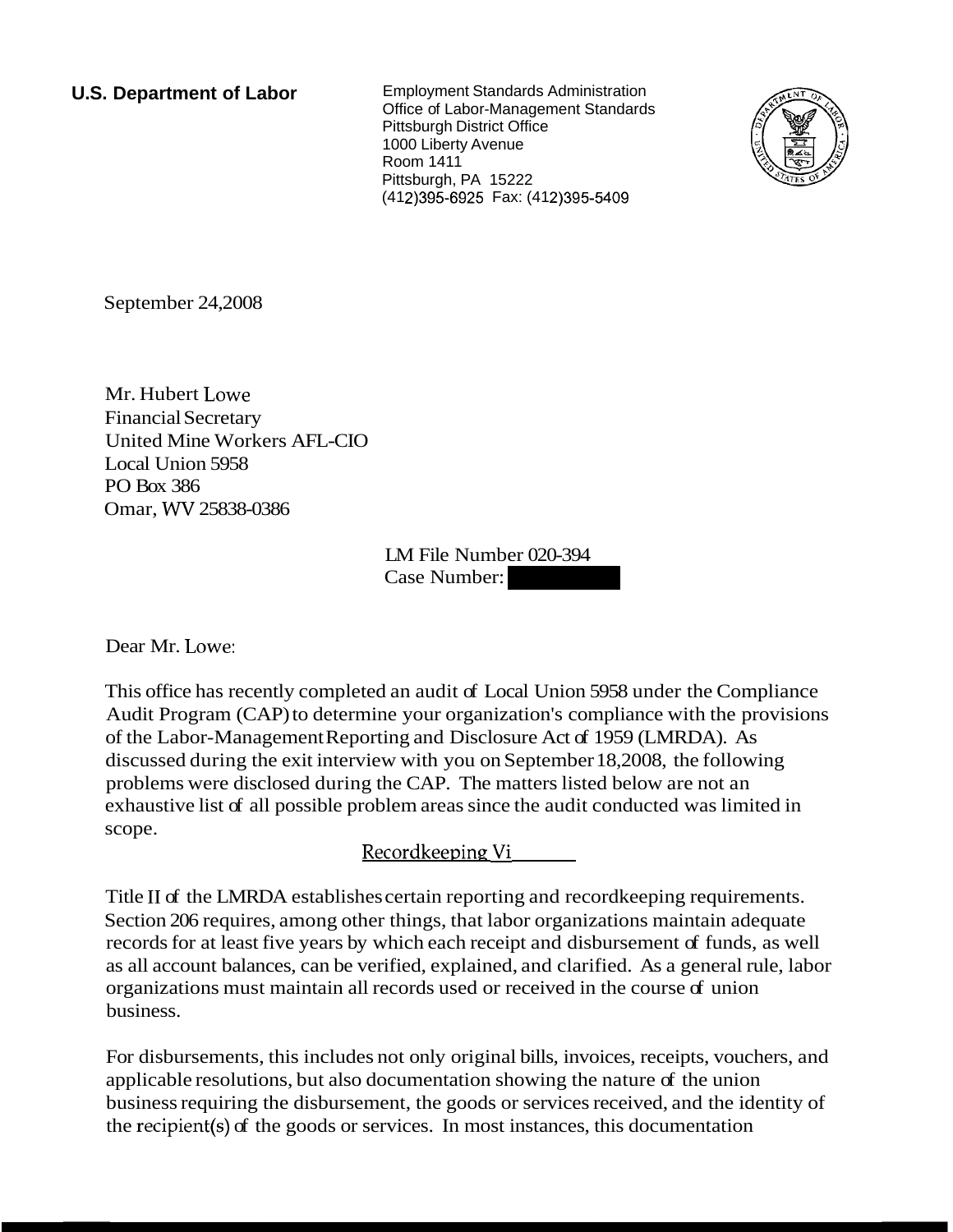**U.S. Department of Labor** Employment Standards Administration Office of Labor-Management Standards Pittsburgh District Office 1000 Liberty Avenue Room 1411 Pittsburgh, PA 15222 (412) 395-6925 Fax: (412) 395-5409



September 24,2008

Mr. Hubert Lowe Financial Secretary United Mine Workers AFL-CIO Local Union 5958 PO Box 386 Omar, WV 25838-0386

LM File Number 020-394 LM File Number 020-394<br>Case Number:

Dear Mr. Lowe:

This office has recently completed an audit of Local Union 5958 under the Compliance Audit Program (CAP) to determine your organization's compliance with the provisions of the Labor-Management Reporting and Disclosure Act of 1959 (LMRDA). As discussed during the exit interview with you on September 18,2008, the following problems were disclosed during the CAP. The matters listed below are not an exhaustive list of all possible problem areas since the audit conducted was limited in scope.

Recordkeeping Vi

Title I1 of the LMRDA establishes certain reporting and recordkeeping requirements. Section 206 requires, among other things, that labor organizations maintain adequate records for at least five years by which each receipt and disbursement of funds, as well as all account balances, can be verified, explained, and clarified. As a general rule, labor organizations must maintain all records used or received in the course of union business.

For disbursements, this includes not only original bills, invoices, receipts, vouchers, and applicable resolutions, but also documentation showing the nature of the union business requiring the disbursement, the goods or services received, and the identity of the recipient(s) of the goods or services. In most instances, this documentation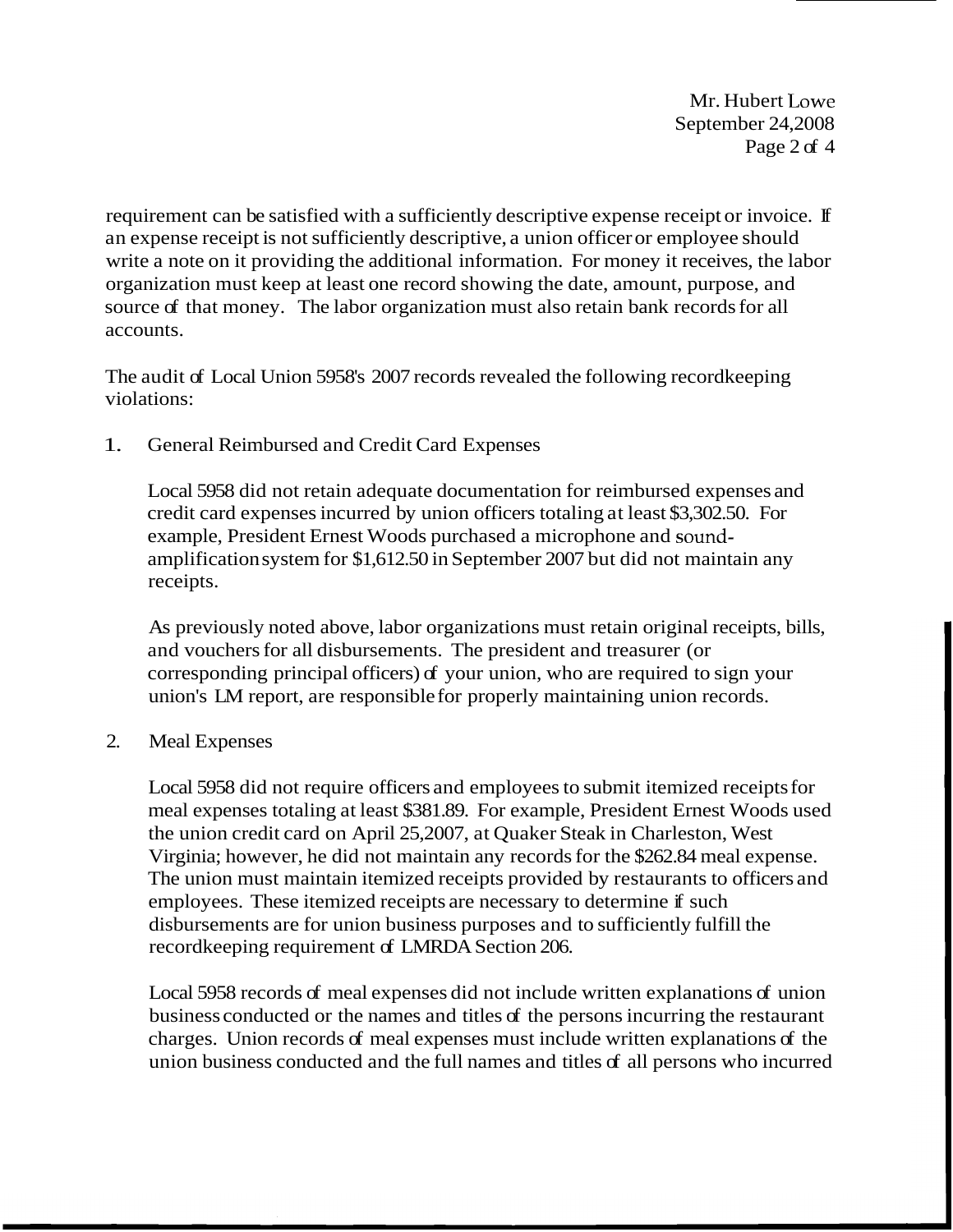Mr. Hubert Lowe September 24,2008 Page 2 of 4

requirement can be satisfied with a sufficiently descriptive expense receipt or invoice. If an expense receipt is not sufficiently descriptive, a union officer or employee should write a note on it providing the additional information. For money it receives, the labor organization must keep at least one record showing the date, amount, purpose, and source of that money. The labor organization must also retain bank records for all accounts.

The audit of Local Union 5958's 2007 records revealed the following recordkeeping violations:

1. General Reimbursed and Credit Card Expenses

Local 5958 did not retain adequate documentation for reimbursed expenses and credit card expenses incurred by union officers totaling at least \$3,302.50. For example, President Ernest Woods purchased a microphone and soundamplification system for \$1,612.50 in September 2007 but did not maintain any receipts.

As previously noted above, labor organizations must retain original receipts, bills, and vouchers for all disbursements. The president and treasurer (or corresponding principal officers) of your union, who are required to sign your union's LM report, are responsible for properly maintaining union records.

2. Meal Expenses

Local 5958 did not require officers and employees to submit itemized receipts for meal expenses totaling at least \$381.89. For example, President Ernest Woods used the union credit card on April 25,2007, at Quaker Steak in Charleston, West Virginia; however, he did not maintain any records for the \$262.84 meal expense. The union must maintain itemized receipts provided by restaurants to officers and employees. These itemized receipts are necessary to determine if such disbursements are for union business purposes and to sufficiently fulfill the recordkeeping requirement of LMRDA Section 206.

Local 5958 records of meal expenses did not include written explanations of union business conducted or the names and titles of the persons incurring the restaurant charges. Union records of meal expenses must include written explanations of the union business conducted and the full names and titles of all persons who incurred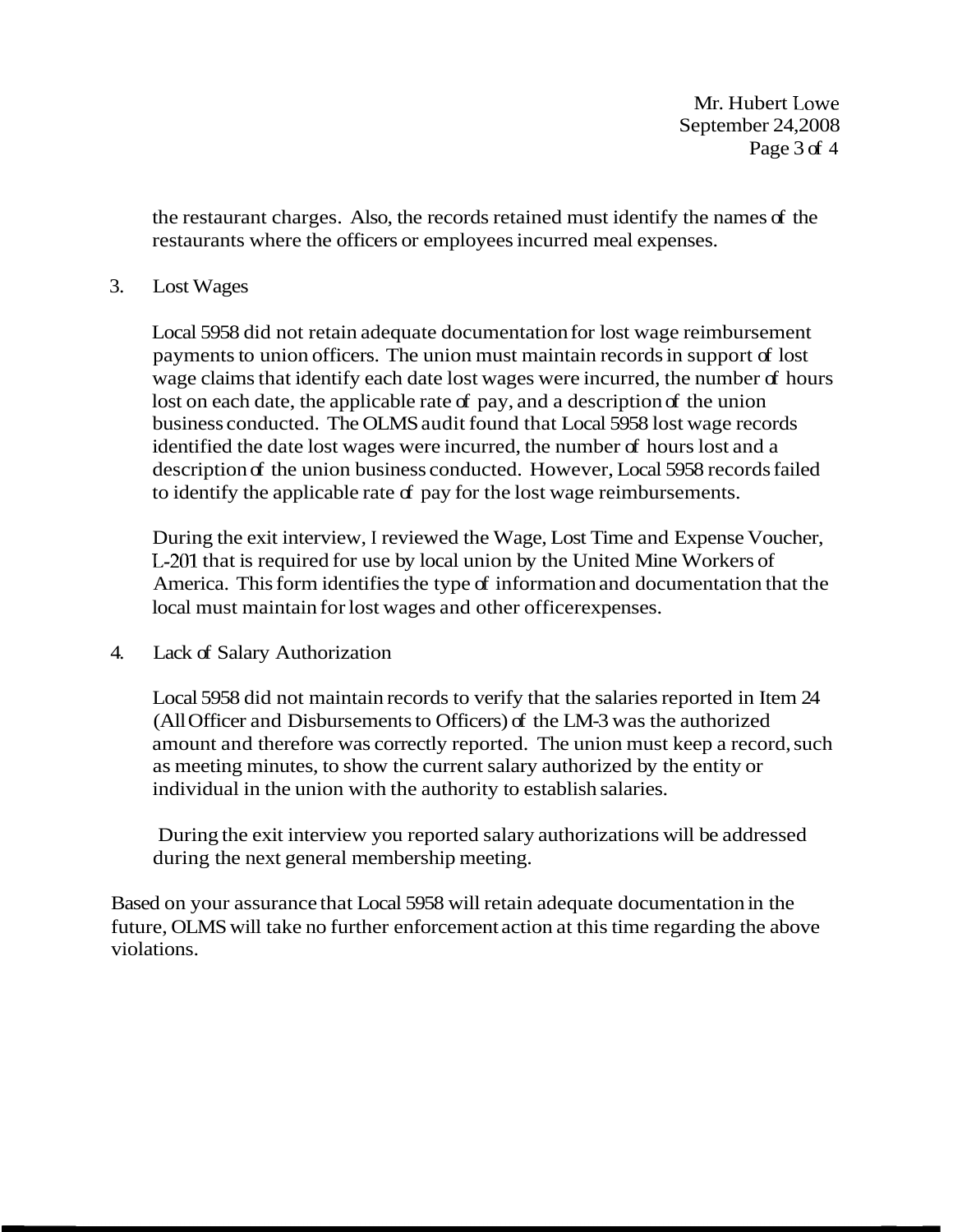Mr. Hubert Lowe September 24,2008 Page 3 of 4

the restaurant charges. Also, the records retained must identify the names of the restaurants where the officers or employees incurred meal expenses.

## 3. Lost Wages

Local 5958 did not retain adequate documentation for lost wage reimbursement payments to union officers. The union must maintain records in support of lost wage claims that identify each date lost wages were incurred, the number of hours lost on each date, the applicable rate of pay, and a description of the union business conducted. The OLMS audit found that Local 5958 lost wage records identified the date lost wages were incurred, the number of hours lost and a description of the union business conducted. However, Local 5958 records failed to identify the applicable rate  $f$  pay for the lost wage reimbursements.

During the exit interview, I reviewed the Wage, Lost Time and Expense Voucher, L-201 that is required for use by local union by the United Mine Workers of America. This form identifies the type of information and documentation that the local must maintain for lost wages and other officer expenses.

## 4. Lack of Salary Authorization

Local 5958 did not maintain records to verify that the salaries reported in Item 24 (All Officer and Disbursements to Officers) of the LM-3 was the authorized amount and therefore was correctly reported. The union must keep a record, such as meeting minutes, to show the current salary authorized by the entity or individual in the union with the authority to establish salaries.

During the exit interview you reported salary authorizations will be addressed during the next general membership meeting.

Based on your assurance that Local 5958 will retain adequate documentation in the future, OLMS will take no further enforcement action at this time regarding the above violations.